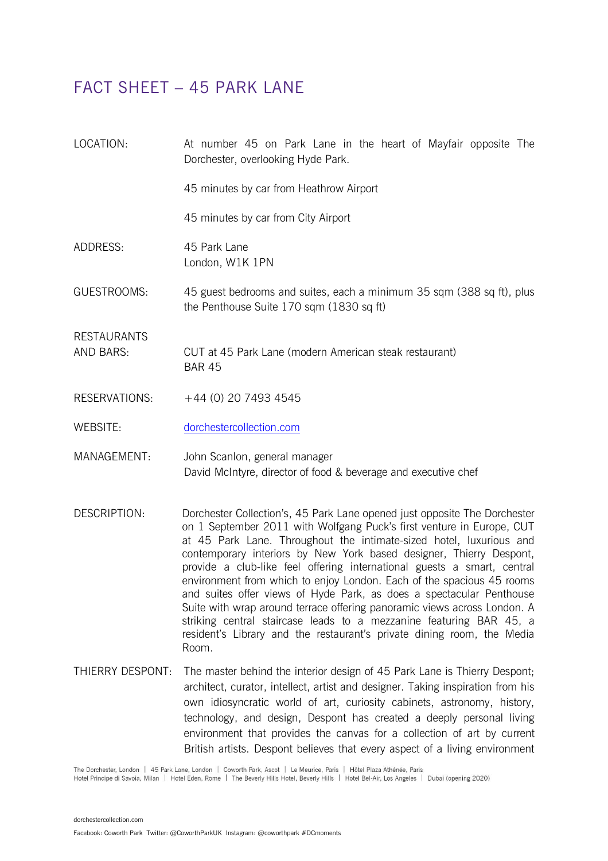## FACT SHEET – 45 PARK LANE

| LOCATION:                       | At number 45 on Park Lane in the heart of Mayfair opposite The<br>Dorchester, overlooking Hyde Park.              |
|---------------------------------|-------------------------------------------------------------------------------------------------------------------|
|                                 | 45 minutes by car from Heathrow Airport                                                                           |
|                                 | 45 minutes by car from City Airport                                                                               |
| ADDRESS:                        | 45 Park Lane<br>London, W1K 1PN                                                                                   |
| GUESTROOMS:                     | 45 guest bedrooms and suites, each a minimum 35 sqm (388 sq ft), plus<br>the Penthouse Suite 170 sqm (1830 sq ft) |
| <b>RESTAURANTS</b><br>AND BARS: | CUT at 45 Park Lane (modern American steak restaurant)<br><b>BAR 45</b>                                           |
| RESERVATIONS:                   | $+44$ (0) 20 7493 4545                                                                                            |
| WEBSITE:                        | dorchestercollection.com                                                                                          |

MANAGEMENT: John Scanlon, general manager David McIntyre, director of food & beverage and executive chef

- DESCRIPTION: Dorchester Collection's, 45 Park Lane opened just opposite The Dorchester on 1 September 2011 with Wolfgang Puck's first venture in Europe, CUT at 45 Park Lane. Throughout the intimate-sized hotel, luxurious and contemporary interiors by New York based designer, Thierry Despont, provide a club-like feel offering international guests a smart, central environment from which to enjoy London. Each of the spacious 45 rooms and suites offer views of Hyde Park, as does a spectacular Penthouse Suite with wrap around terrace offering panoramic views across London. A striking central staircase leads to a mezzanine featuring BAR 45, a resident's Library and the restaurant's private dining room, the Media Room.
- THIERRY DESPONT: The master behind the interior design of 45 Park Lane is Thierry Despont; architect, curator, intellect, artist and designer. Taking inspiration from his own idiosyncratic world of art, curiosity cabinets, astronomy, history, technology, and design, Despont has created a deeply personal living environment that provides the canvas for a collection of art by current British artists. Despont believes that every aspect of a living environment

The Dorchester, London | 45 Park Lane, London | Coworth Park, Ascot | Le Meurice, Paris | Hôtel Plaza Athénée, Paris

Hotel Principe di Savoia, Milan | Hotel Eden, Rome | The Beverly Hills Hotel, Beverly Hills | Hotel Bel-Air, Los Angeles | Dubai (opening 2020)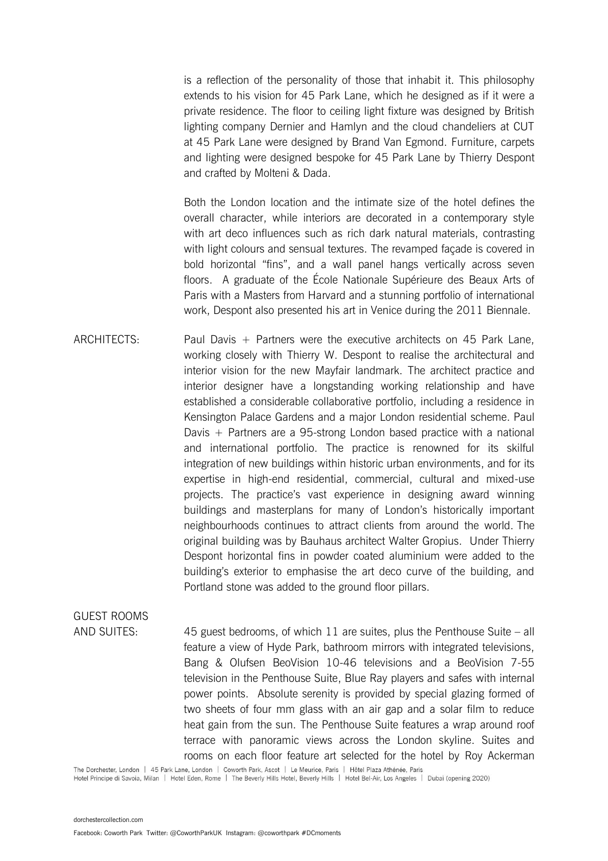is a reflection of the personality of those that inhabit it. This philosophy extends to his vision for 45 Park Lane, which he designed as if it were a private residence. The floor to ceiling light fixture was designed by British lighting company Dernier and Hamlyn and the cloud chandeliers at CUT at 45 Park Lane were designed by Brand Van Egmond. Furniture, carpets and lighting were designed bespoke for 45 Park Lane by Thierry Despont and crafted by Molteni & Dada.

Both the London location and the intimate size of the hotel defines the overall character, while interiors are decorated in a contemporary style with art deco influences such as rich dark natural materials, contrasting with light colours and sensual textures. The revamped façade is covered in bold horizontal "fins", and a wall panel hangs vertically across seven floors. A graduate of the École Nationale Supérieure des Beaux Arts of Paris with a Masters from Harvard and a stunning portfolio of international work, Despont also presented his art in Venice during the 2011 Biennale.

ARCHITECTS: Paul Davis + Partners were the executive architects on 45 Park Lane, working closely with Thierry W. Despont to realise the architectural and interior vision for the new Mayfair landmark. The architect practice and interior designer have a longstanding working relationship and have established a considerable collaborative portfolio, including a residence in Kensington Palace Gardens and a major London residential scheme. Paul Davis + Partners are a 95-strong London based practice with a national and international portfolio. The practice is renowned for its skilful integration of new buildings within historic urban environments, and for its expertise in high-end residential, commercial, cultural and mixed-use projects. The practice's vast experience in designing award winning buildings and masterplans for many of London's historically important neighbourhoods continues to attract clients from around the world. The original building was by Bauhaus architect Walter Gropius. Under Thierry Despont horizontal fins in powder coated aluminium were added to the building's exterior to emphasise the art deco curve of the building, and Portland stone was added to the ground floor pillars.

# GUEST ROOMS

AND SUITES: 45 guest bedrooms, of which 11 are suites, plus the Penthouse Suite – all feature a view of Hyde Park, bathroom mirrors with integrated televisions, Bang & Olufsen BeoVision 10-46 televisions and a BeoVision 7-55 television in the Penthouse Suite, Blue Ray players and safes with internal power points. Absolute serenity is provided by special glazing formed of two sheets of four mm glass with an air gap and a solar film to reduce heat gain from the sun. The Penthouse Suite features a wrap around roof terrace with panoramic views across the London skyline. Suites and rooms on each floor feature art selected for the hotel by Roy Ackerman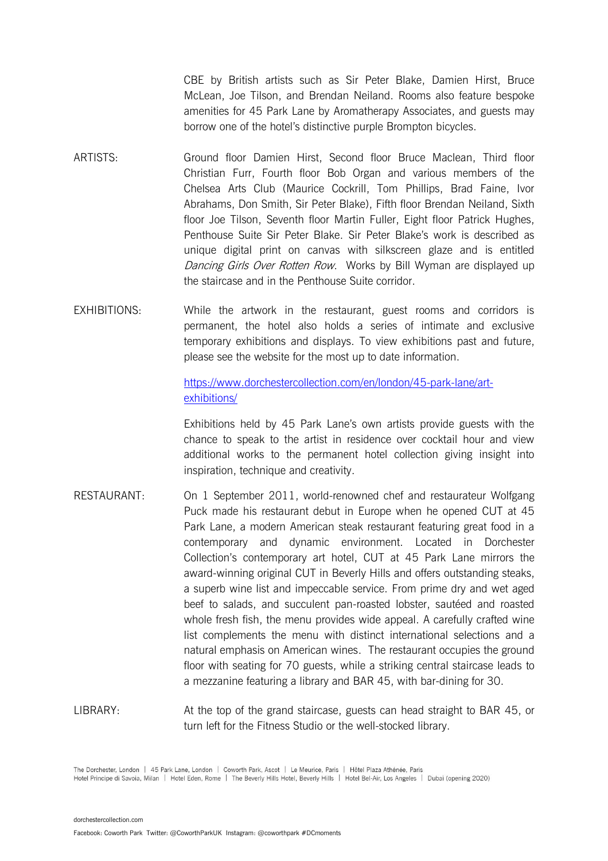CBE by British artists such as Sir Peter Blake, Damien Hirst, Bruce McLean, Joe Tilson, and Brendan Neiland. Rooms also feature bespoke amenities for 45 Park Lane by Aromatherapy Associates, and guests may borrow one of the hotel's distinctive purple Brompton bicycles.

- ARTISTS: Ground floor Damien Hirst, Second floor Bruce Maclean, Third floor Christian Furr, Fourth floor Bob Organ and various members of the Chelsea Arts Club (Maurice Cockrill, Tom Phillips, Brad Faine, Ivor Abrahams, Don Smith, Sir Peter Blake), Fifth floor Brendan Neiland, Sixth floor Joe Tilson, Seventh floor Martin Fuller, Eight floor Patrick Hughes, Penthouse Suite Sir Peter Blake. Sir Peter Blake's work is described as unique digital print on canvas with silkscreen glaze and is entitled Dancing Girls Over Rotten Row. Works by Bill Wyman are displayed up the staircase and in the Penthouse Suite corridor.
- EXHIBITIONS: While the artwork in the restaurant, guest rooms and corridors is permanent, the hotel also holds a series of intimate and exclusive temporary exhibitions and displays. To view exhibitions past and future, please see the website for the most up to date information.

### [https://www.dorchestercollection.com/en/london/45-park-lane/art](https://www.dorchestercollection.com/en/london/45-park-lane/art-exhibitions/)[exhibitions/](https://www.dorchestercollection.com/en/london/45-park-lane/art-exhibitions/)

Exhibitions held by 45 Park Lane's own artists provide guests with the chance to speak to the artist in residence over cocktail hour and view additional works to the permanent hotel collection giving insight into inspiration, technique and creativity.

- RESTAURANT: On 1 September 2011, world-renowned chef and restaurateur Wolfgang Puck made his restaurant debut in Europe when he opened CUT at 45 Park Lane, a modern American steak restaurant featuring great food in a contemporary and dynamic environment. Located in Dorchester Collection's contemporary art hotel, CUT at 45 Park Lane mirrors the award-winning original CUT in Beverly Hills and offers outstanding steaks, a superb wine list and impeccable service. From prime dry and wet aged beef to salads, and succulent pan-roasted lobster, sautéed and roasted whole fresh fish, the menu provides wide appeal. A carefully crafted wine list complements the menu with distinct international selections and a natural emphasis on American wines. The restaurant occupies the ground floor with seating for 70 guests, while a striking central staircase leads to a mezzanine featuring a library and BAR 45, with bar-dining for 30.
- LIBRARY: At the top of the grand staircase, guests can head straight to BAR 45, or turn left for the Fitness Studio or the well-stocked library.

The Dorchester, London | 45 Park Lane, London | Coworth Park, Ascot | Le Meurice, Paris | Hôtel Plaza Athénée, Paris Hotel Principe di Savoia, Milan | Hotel Eden, Rome | The Beverly Hills Hotel, Beverly Hills | Hotel Bel-Air, Los Angeles | Dubai (opening 2020)

[dorchestercollection.com](http://www.dorchestercollection.com/)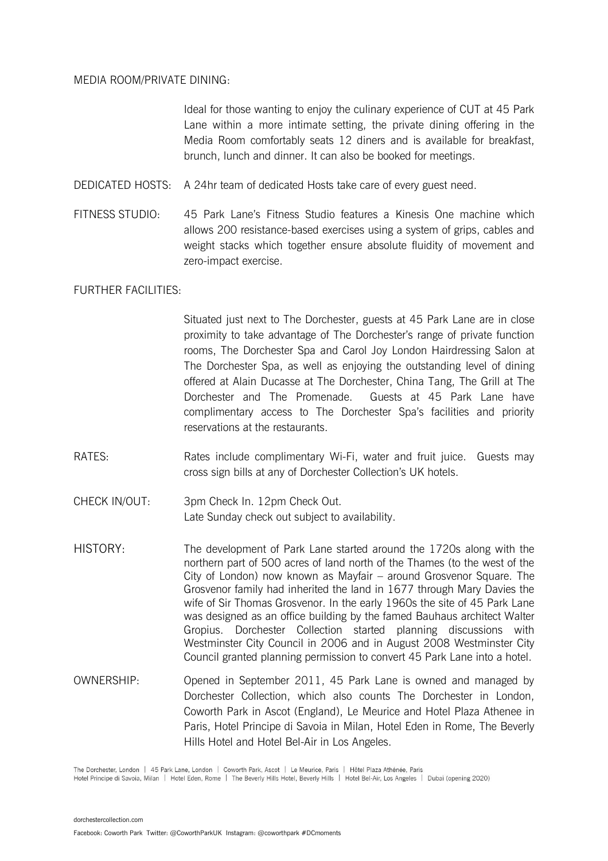#### MEDIA ROOM/PRIVATE DINING:

Ideal for those wanting to enjoy the culinary experience of CUT at 45 Park Lane within a more intimate setting, the private dining offering in the Media Room comfortably seats 12 diners and is available for breakfast, brunch, lunch and dinner. It can also be booked for meetings.

- DEDICATED HOSTS: A 24hr team of dedicated Hosts take care of every guest need.
- FITNESS STUDIO: 45 Park Lane's Fitness Studio features a Kinesis One machine which allows 200 resistance-based exercises using a system of grips, cables and weight stacks which together ensure absolute fluidity of movement and zero-impact exercise.

#### FURTHER FACILITIES:

Situated just next to The Dorchester, guests at 45 Park Lane are in close proximity to take advantage of The Dorchester's range of private function rooms, The Dorchester Spa and Carol Joy London Hairdressing Salon at The Dorchester Spa, as well as enjoying the outstanding level of dining offered at Alain Ducasse at The Dorchester, China Tang, The Grill at The Dorchester and The Promenade. Guests at 45 Park Lane have complimentary access to The Dorchester Spa's facilities and priority reservations at the restaurants.

- RATES: Rates include complimentary Wi-Fi, water and fruit juice. Guests may cross sign bills at any of Dorchester Collection's UK hotels.
- CHECK IN/OUT: 3pm Check In. 12pm Check Out. Late Sunday check out subject to availability.
- HISTORY: The development of Park Lane started around the 1720s along with the northern part of 500 acres of land north of the Thames (to the west of the City of London) now known as Mayfair – around Grosvenor Square. The Grosvenor family had inherited the land in 1677 through Mary Davies the wife of Sir Thomas Grosvenor. In the early 1960s the site of 45 Park Lane was designed as an office building by the famed Bauhaus architect Walter Gropius. Dorchester Collection started planning discussions with Westminster City Council in 2006 and in August 2008 Westminster City Council granted planning permission to convert 45 Park Lane into a hotel.
- OWNERSHIP: Opened in September 2011, 45 Park Lane is owned and managed by Dorchester Collection, which also counts The Dorchester in London, Coworth Park in Ascot (England), Le Meurice and Hotel Plaza Athenee in Paris, Hotel Principe di Savoia in Milan, Hotel Eden in Rome, The Beverly Hills Hotel and Hotel Bel-Air in Los Angeles.

The Dorchester, London | 45 Park Lane, London | Coworth Park, Ascot | Le Meurice, Paris | Hôtel Plaza Athénée, Paris

Hotel Principe di Savoia, Milan | Hotel Eden, Rome | The Beverly Hills Hotel, Beverly Hills | Hotel Bel-Air, Los Angeles | Dubai (opening 2020)